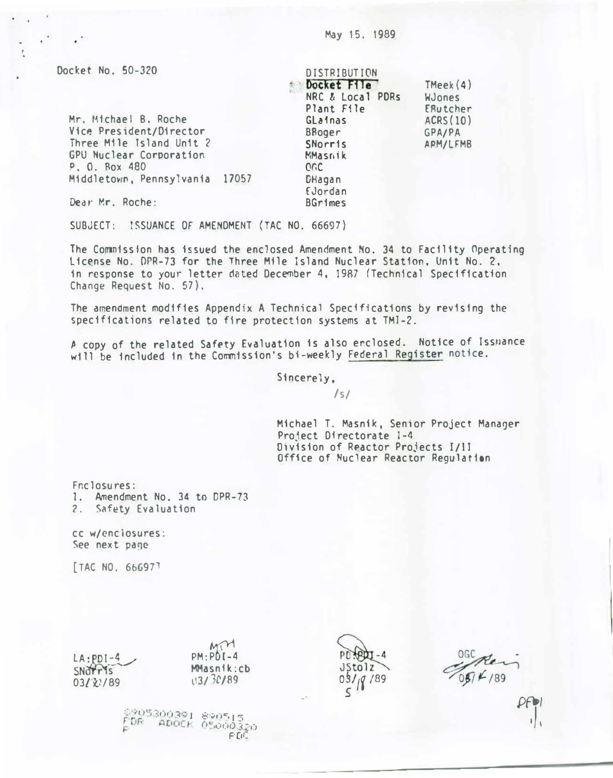Docket No. 50-320

| Mr. Michael B. Roche           |  |
|--------------------------------|--|
| Vice President/Director        |  |
| Three Mile Island Unit 2       |  |
| GPU Nuclear Corporation        |  |
| P. O. Rox 480                  |  |
| Middletown, Pennsylvania 17057 |  |

**DISTRIBUTION** DOcket Ffle NRC  $\hbar$  Local PDRs Plant File Glainas BBoger **SNorris** MMasrik or.c **DHagan** TMeek(4) WJones ERutcher ACRS (10) GPA/PA APM/LFMB

Dear Mr. Roche:

SUBJECT: ISSUANCE OF AMENDMENT (TAC NO. 66697)

The Commission has issued the enclosed Amendment No. 34 to Facility Operating Lic�nse No. OPR-73 for the Three Mile Island Nuclear Station, Unit No. 2. in response to your letter dated December 4, 19R7 (Technical Specification Change Request No. 57).

動物

£Jordan BGrimes

The amendment modifies Appendix A Technical Specifications by revising the specifications related to fire protection systems at TMI-2.

A copy of the related Safety Evaluation is also enclosed. Notice of Issuance will be included in the Commission's bi-weekly Federal Register notice.

Sincerely,

 $\sqrt{s}$ 

Michael T. Masnik, Senior Project Manager Pro1ect Directorate 1-4 Division of Reactor Projects I/11 Office of Nuclear Reactor Regulation

Fnclosures: 1. Amendment No. 34 to DPR-73 2. Safety Evaluation

cc w/cnclosures: See next page

[TAC NO. 66697]

 $L_A:PDI-4$ <br>SNOTTIS  $03/\chi$ :/89

 $PM:PDI-4$ MMasnik:cb  $13/30/89$ 



�·

 $0\frac{1}{8}$  /89  $0\frac{1}{8}$  /89

 $8.50512$  $0.55003$ F'OC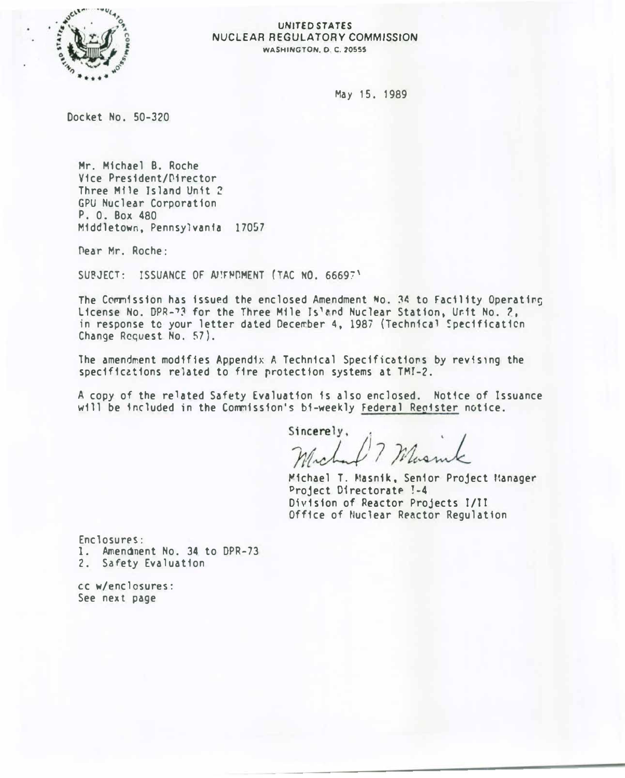

#### UNITED STATES NUCLEAR REGULATORY COMMISSION WASHINGTON. 0. C. 70555

May 15. 1989

Docket No. 50-320

Mr. Michael B. Roche Vice Pres1dent/P1rector Three Mfle Island Unit 2 GPU Nuclear Corporation P. 0. Box 480 Middletown, Pennsylvania 17057

Pear Mr. Roche:

SUBJECT: ISSUANCE OF ANIFMUMENT (TAC NO. 66697)

The Commission has issued the enclosed Amendment No. 34 to Facility Operating License No. DPR-73 for the Three Mile Is'and Nuclear Station, Unit No. 2, in response to your letter dated December 4, 1987 (Technical Specification Change Request No. 57).

The amendment modifies Appendix A Technical Specifications by revising the specifications related to fire protection systems at TMI-2.

A copy of the related Safety Evaluation is also enclosed. Notice of Issuance will be included in the Commission's bi-weekly Federal Reoister notice.

Sincerely, rchart ? Musmk

Michael T. Masnik, Senior Project Manager Project Directorate !-4 Division of Reactor Projects I/II Office of Nuclear Reactor Regulation

Enclosures: 1. Amendment No. 34 to DPR-73 2. Safety Evaluation

cc w/enclosures: See next page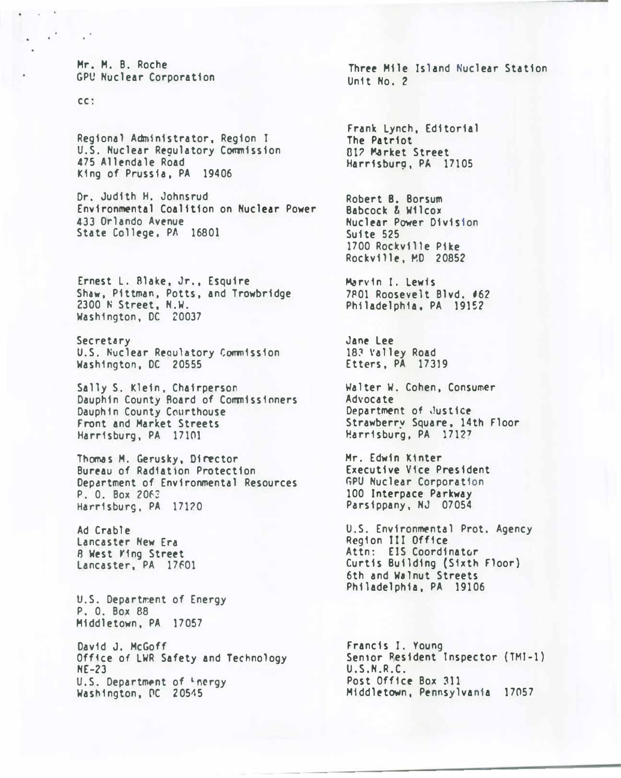Mr. M. B. Roche GPU Nuclear Corporation

cc:

Regional Administrator, Region t U.S. Nuclear Regulatory Commission 475 Allendale Road King of Prussia, PA 19406

Dr. Judith H. Johnsrud Environmental Coalition on Nuclear Power 433 Orlando Avenue State College. PA 16801

Ernest L. Blake, Jr., Esquire Shaw, Pittman, Potts, and Trowbridge 2300 N Street, N.W. Washington, DC 20037

Secretary U.S. Nuclear Reoulatory Commission Washington, DC 20555

Sally S. Klein, Chairperson Dauphin County Roard of Commissioners Dauph In County Courthouse Front and Market Streets Harrisburg, PA 17101

Thomas M. Gerusky, Director Bureau of Radiation Protection Department of Environmental Resources P. O. Box 2063 Harrisburg, PA 17120

Ad Crable Lancaster New Era 8 West Yfng Street Lancaster, PA 17601

U.S. Department of Energy P. 0. Box 88 Middletown, PA 17057

David J. McGoff Office of LWR Safety and Technology NE-23 U.S. Department of <sup>L</sup>nergy Washington, PC 20545

Three Mile Island Nuclear Station Unit No. 2

Frank Lynch, Editorial The Patriot 01? �rket Street Harrfsbur9, PA 17105

Robert B. Borsum Babcock & Wilcox Nuclear Power Division Suite 525 1700 Rockville Pike Rockville, MD 20852

Marvin t. Lewis 7801 Roosevelt Blvd. #62 Philadelphia, PA 191S2

Jane Lee 183 Valley Road Etters, PA 17319

Walter W. Cohen, Consumer Advocate Department of Justice Strawberry Square, 14th Floor �arrisburg, PA 1712'

Mr. Edwin K1nter Executive Vice President **GPU Nuclear Corporation** 100 Interpace Parkway Parsippany, NJ 07054

U.S. Environmental Prot. Agency Region III Office Attn: ElS Coordinator Curtis Building (Sixth Floor) 6th and Walnut Streets Philadelphia, PA 19106

Francis I. Young Senior Resident Inspector (TMI-1) U.S.N.R.C. Post Office Box 311 Middletown, Pennsylvania 17057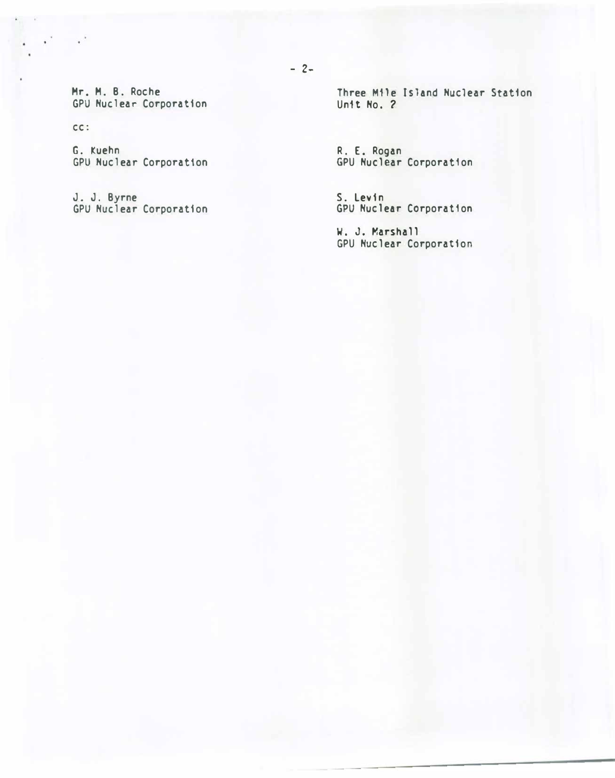Mr. M. B. Roche GPU Nuclear Corporation

cc:

 $\sim$ 

G. Kuehn GPU Nuclear Corporation

J. J. Byrne GPU Nuclear Corporation Three Mile Island Nuclear Station Unit No. 2

R. E. Rogan GPU Nuclear Corporation

S. Levin GPU Nuclear Corporation

W. J. Marshall GPU Nuclear Corporation

 $- 2-$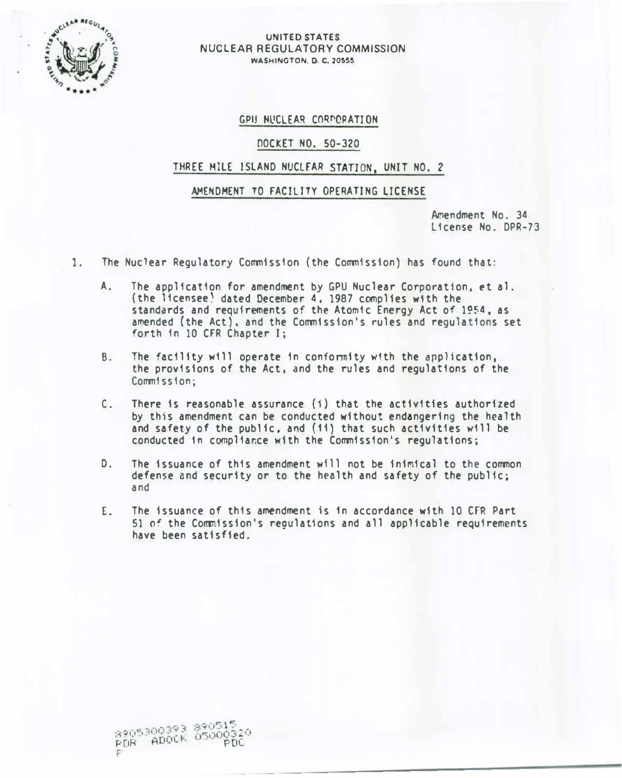

#### UNITED STATES NUCLEAR REGULATORY COMMISSION **WASHINGTON, D. C. 20555**

## GPIJ NUCLEAR CORPORATION

## DOCKET NO. 50-320

## THREE MILE ISLAND NUCLEAR STATION, UNIT NO. 2

## AMENDMENT TO FACILITY OPERATING LICENSE

Amendment No. 34 License No. DPR-73

- 1. The Nuclear Regulatory Commission (the Commission) has found that:
	- A. The application for amendment by GPU Nuclear Corporation, et al. (the licensee) dated December 4. 1987 complies with the standards and requirements of the Atomic Energy Act of 1954, as amended (the Act), and the Commission's rules and regulations set forth in 10 CFR Chapter I;
	- B. The facility will operate in conformity with the application, the provisions of the Act, and the rules and regulations of the Commission:
	- C. There is reasonable assurance (i} that the activities authorized by this amendment can be conducted without endangering the health and safety of the public, and (11) that such activities will be conducted in compliance with the Commission's regulations;
	- D. The issuance of this amendment will not be inimical to the common defense and security or to the h�alth and safety of the public; and
	- E. The issuance of this amendment fs 1n accordance with 10 CFR Part 51 of the Commission's regulations and all applicable requirements have been satisfied.

8905300393 890515 8905300393 89000320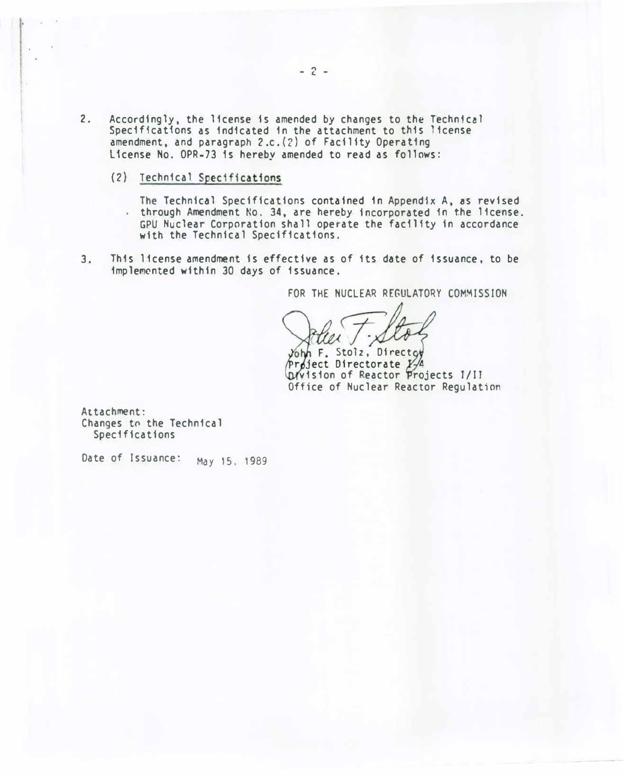- 2. Accordingly, the license is amended by changes to the Technical Specifications as indicated in the attachment to this license amendment, and paragraph 2.c. (2) of Facility Operating License No. OPR-73 1s hereby amended to read as follows:
	- (2) Technical Specifications

The Technical Specifications contained in Appendix A, �s revised through Amendment No. 34, are hereby incorporated 1n the license. GPU Nuclear Corporation shall operate the fac1lfty in accordance with the Technical Specifications.

3. This license amendment is effective as of 1ts date of issuance, to be implemented within 30 days of issuance.

FOR THE NUCLEAR REGULATORY COMMISSION

John F. Stolz, Direct Project Directorate Y Division of Reactor Projects I/II Office of Nuclear Reactor Regulation

Attachment: Changes to the Technical Specifications

Date of Issuance: May 15, 1989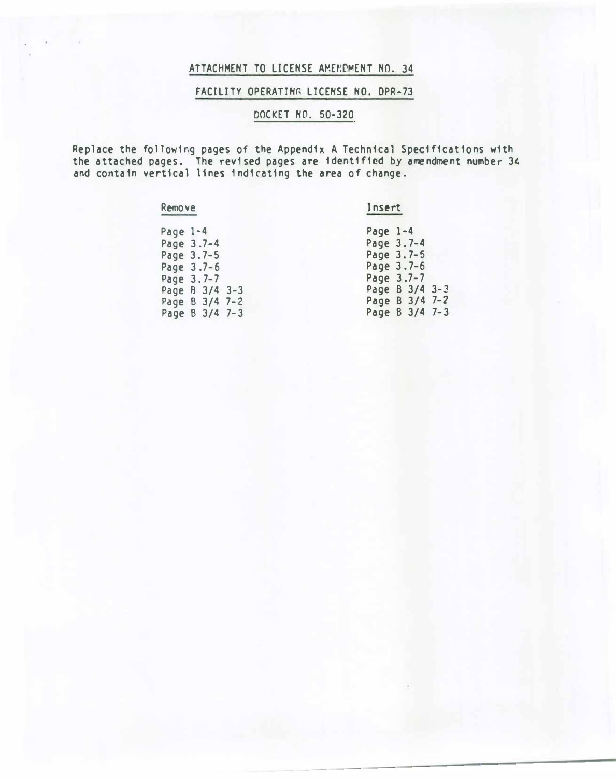# ATTACHMENT TO LICENSE AMENDMENT NO. 34

## FACILITY OPERATING LICENSE NO. DPR-73

# DOCKET NO. 50-320

Replace the following pages of the Appendix A Technical Specifications w1th the attached pages. The revised pages are identified by amendment number 34 and contain vertical lines indicating the area of change.

#### Remove

## Insert

| Page $1-4$ |                | Page $1-4$ |                |  |
|------------|----------------|------------|----------------|--|
|            | Page 3.7-4     |            | Page 3.7-4     |  |
|            | Page 3.7-5     |            | Page 3.7-5     |  |
|            | Page $3.7-6$   |            | Page $3.7-6$   |  |
|            | Page 3.7-7     |            | Page 3.7-7     |  |
|            | Page B 3/4 3-3 |            | Page B 3/4 3-3 |  |
|            | Page B 3/4 7-2 |            | Page B 3/4 7-2 |  |
|            | Page B 3/4 7-3 |            | Page B 3/4 7-3 |  |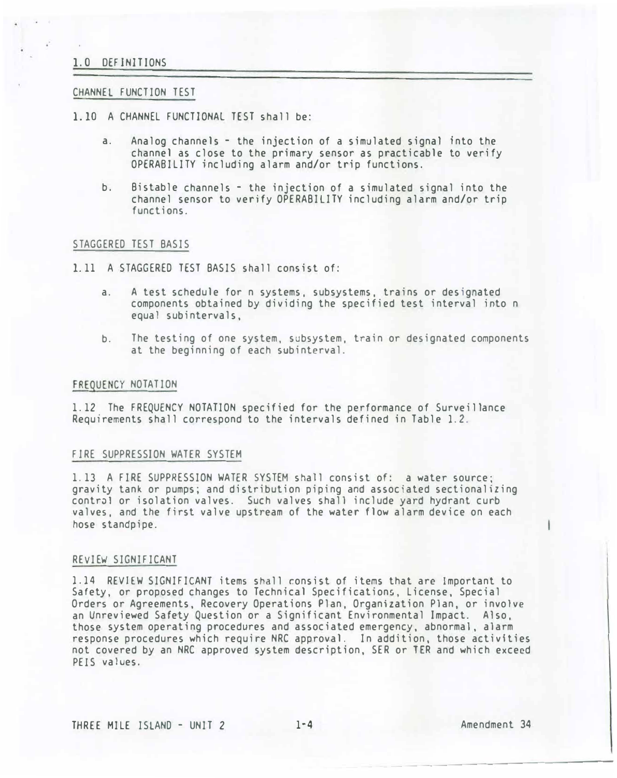## 1.0 DEFINIT IONS

#### CHANNEL FUNCTION TEST

- 1.10 A CHANNEL FUNCTIONAL TEST shall be:
	- a. Analog channels the injection of a simulated signal into the channel as close to the primary sensor as practicable to verify OPERABILITY including alarm and/or trip functions.
	- b. Bistable channels the injection of a simulated signal into the channel sensor to verify OPERABILITY including alarm and/or trip functions.

## STAGGERED TEST BASIS

- 1.11 A STAGGERED TEST BASIS shall consist of:
	- a. A test schedule for n systems, subsystems, trains or designated components obtained by dividing the specified test interval into n equal subintervals,
	- b. The testing of one system, subsystem, train or designated components at the beginning of each subinterval.

#### FREQUENCY NOTATION

1. 12 The FREQUENCY NOTATION specified for the performance of Surveillance Requirements shall correspond to the intervals defined in Table 1.2.

## FJRE SUPPRESSION WATER SYSTEM

1.13 A FIRE SUPPRESSION WATER SYSTEM shall consist of: a water source; gravity tank or pumps; and distribution piping and associated sectionalizing control or isolation valves. Such valves shall include yard hydrant curb valves, and the first valve upstream of the water flow alarm device on each hose standpipe.

### REVIEW SIGNIFICANT

1.14 REVIEW SIGNIFICANT items shall consist of items that are Important to Safety, or proposed changes to Technical Specifications, License, Special Orders or Agreements, Recovery Operations Plan, Organization Plan, or involve an Unreviewed Safety Question or a Significant Environmental Impact. Also, those system operating procedures and associated emergency, abnormal, alarm response procedures which require NRC approval. In addition, those activities not covered by an NRC approved system description, SER or TER and which exceed PElS values.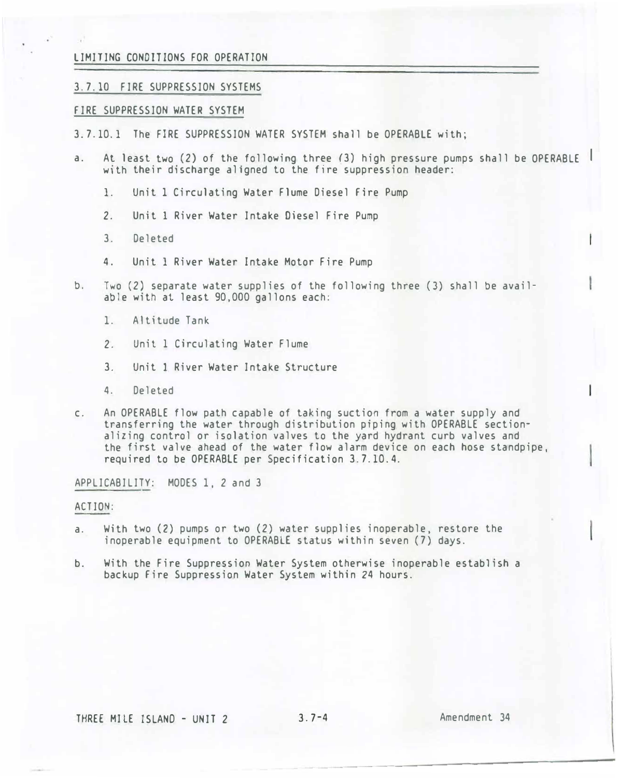## LIMITING CONDITIONS FOR OPERATION

## 3. 7.10 FIRE SUPPRESSION SYSTEMS

#### FIRE SUPPRESSION WATER SYSTEM

- 3. 7.10. 1 The FIRE SUPPRESSION WATER SYSTEM shall be OPERABLE with;
- a. At least two (2) of the following three (3) high pressure pumps shall be OPERABLE I with their discharge aligned to the fire suppression header:
	- 1. Unit 1 Circulating Water Flume Diesel Fire Pump
	- 2. Unit 1 River Water Intake Diesel Fire Pump
	- 3. Deleted
	- 4. Unit 1 River Water Intake Motor Fire Pump
- b. Two (2) separate water supplies of the following three (3) shall be available with at least 90,000 gallons each:
	- 1. Altitude Tank
	- 2. Unit 1 Circulating Water Flume
	- 3. Unit 1 River Water Intake Structure
	- 4. Deleted
- c. An OPERABLE flow path capable of taking suction from a water supply and transferring the water through distribution piping with OPERABLE sectionalizing control or isolation valves to the yard hydrant curb valves and the first valve ahead of the water flow alarm device on each hose standpipe, required to be OPERABLE per Specification 3. 7. 10.4.

APPLICABILITY: MODES 1, 2 and 3

#### ACTION:

- a. With two (2) pumps or two (2) water supplies inoperable, restore the inoperable equipment to OPERABLE status within seven (7) days.
- b. With the Fire Suppression Water System otherwise inoperable establish a backup Fire Suppression Water System within 24 hours.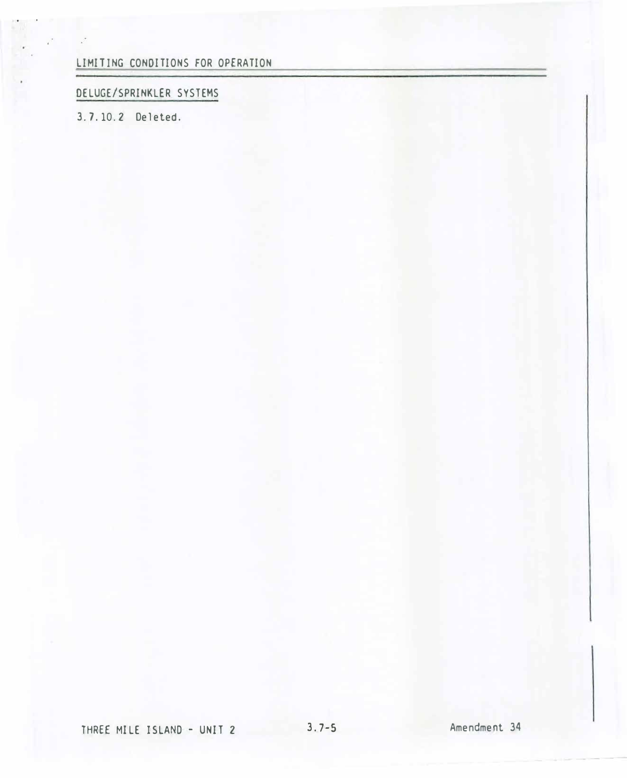LIMITING CONDITIONS FOR OPERATION

# DELUGE/SPRINKLER SYSTEMS

3. 7.10.2 Deleted.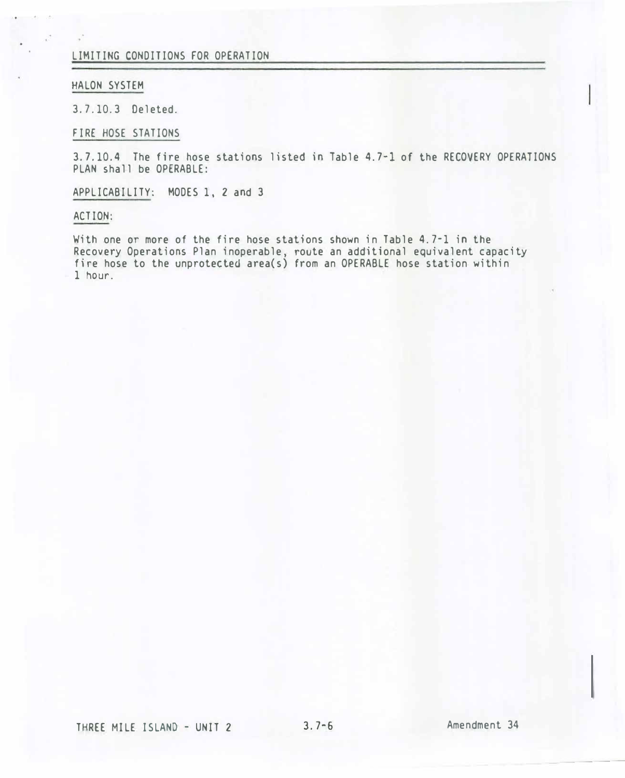## LIMITING CONDITIONS FOR OPERATION

#### HALON SYSTEM

3. 7.10.3 Deleted.

FIRE HOSE STATIONS

3. 7. 10. 4 The fire hose stations listed in Table 4. 7-1 of the RECOVERY OPERATIONS PLAN shall be OPERABLE:

APPLICABILITY: MODES 1, 2 and 3

#### ACTION:

With one or more of the fire hose stations shown in Table 4. 7-1 in the Recovery Operations Plan inoperable, route an additional equivalent capacity fire hose to the unprotected area(s) from an OPERABLE hose station within 1 hour.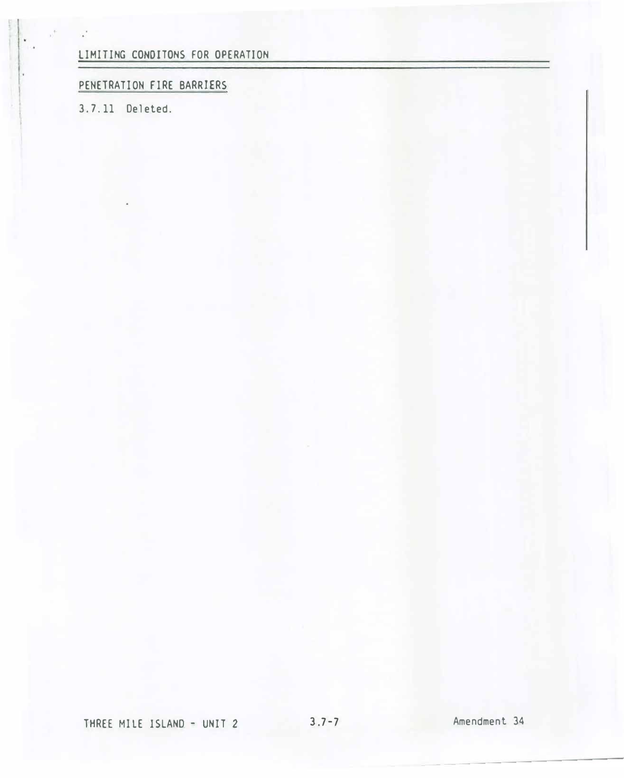LIMITING CONDITONS FOR OPERATION

# PENETRATION FIRE BARRIERS

3. 7.11 Deleted.

 $\mathbf{r}$ 

-----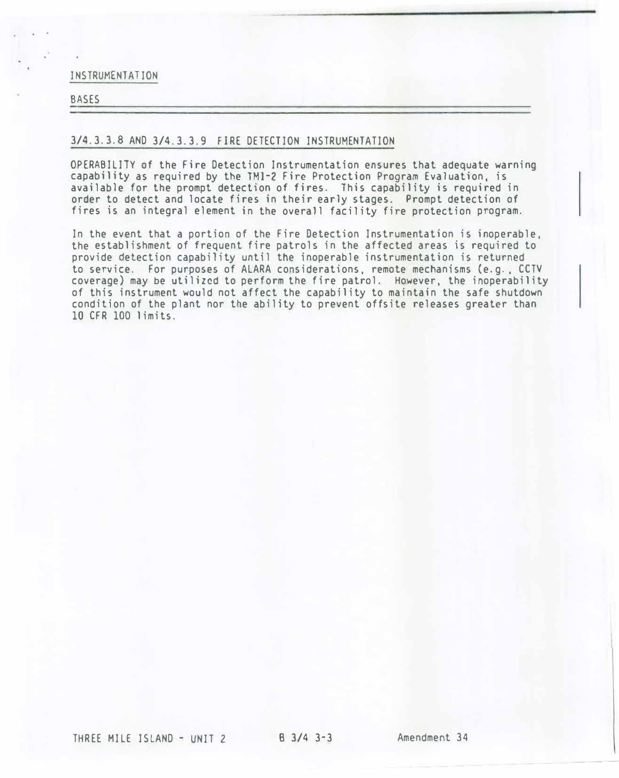INSTRUMENTATION

# BASES

## 3/4.3.3.8 AND 3/4.3.3.9 FIRE DETECTION INSTRUMENTATION

OPERABILITY of the Fire Detection Instrumentation ensures that adequate warning capability as required by the TMl-2 Fire Protection Program Evaluation, is available for the prompt detection of fires. This capability is required in order to detect and locate fires in their early stages. Prompt detection of fires is an integral element in the overall facility fire protection program.

In the event that a portion of the Fire Detection Instrumentation is inoperable, the establishment of frequent fire patrols in the affected areas is required to provide detection capability until the inoperable instrumentation is returned to service. For purposes of ALARA considerations, remote mechanisms (e. g., CCTV coverage) may be utilized to perform the fire patrol. However, the inoperability of this instrument would not affect the capability to maintain the safe shutdown condition of the plant nor the ability to prevent offsite releases greater than 10 CFR 100 limits.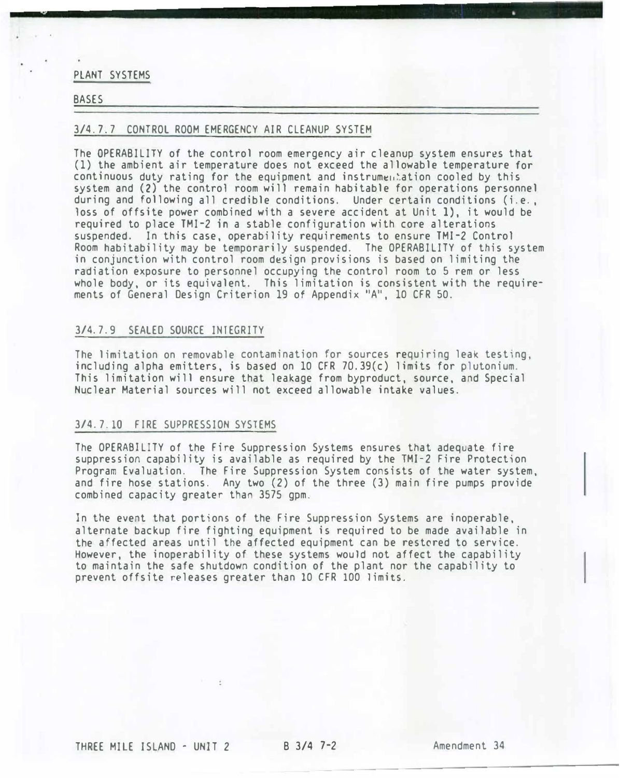#### PLANT SYSTEMS

## BASES

## 3/4. 7. 7 CONTROL ROOM EMERGENCY AIR CLEANUP SYSTEM

The OPERABILITY of the control room emergency air cleanup system ensures that (1) the ambient air temperature does not exceed the allowable temperature for continuous duty rating for the equipment and instrumentation cooled by this system and (2) the control room will remain habitable for operations personnel during and following all credible conditions. Under certain conditions (i.e., loss of offsite power combined with a severe accident at Unit 1), it would be required to place TMI-2 in a stable configuration with core alterations suspended. In this case, operability requirements to ensure TMI-2 Control Room habitability may be temporarily suspended. The OPERABILITY of this system in conjunction with control room design provisions is based on limiting the radiation exposure to personnel occupying the control room to 5 rem or less whole body, or its equivalent. This limitation is consistent with the requirements of General Design Criterion 19 of Appendix "A", 10 CFR 50.

## 3/4.7.9 SEALED SOURCE INTEGRITY

The limitation on removable contamination for sources requiring leak testing, including alpha emitters, is based on 10 CFR 70.39(c) limits for plutonium. This limitation will ensure that leakage from byproduct, source, and Special Nuclear Material sources will not exceed allowable intake values.

#### 3/4. 7.10 FIRE SUPPRESSION SYSTEMS

The OPERABILITY of the Fire Suppression Systems ensures that adequate fire suppression capability is available as required by the TMI-2 Fire Protection Program Evaluation. The Fire Suppression System consists of the water system, and fire hose stations. Any two (2) of the three (3) main fire pumps provide combined capacity greater than 3575 gpm.

In the event that portions of the Fire Suppression Systems are inoperable, alternate backup fire fighting equipment is required to be made available in the affected areas until the affected equipment can be restored to service. However, the inoperability of these systems would not affect the capability to maintain the safe shutdown condition of the plant nor the capability to prevent offsite releases greater than 10 CFR 100 limits.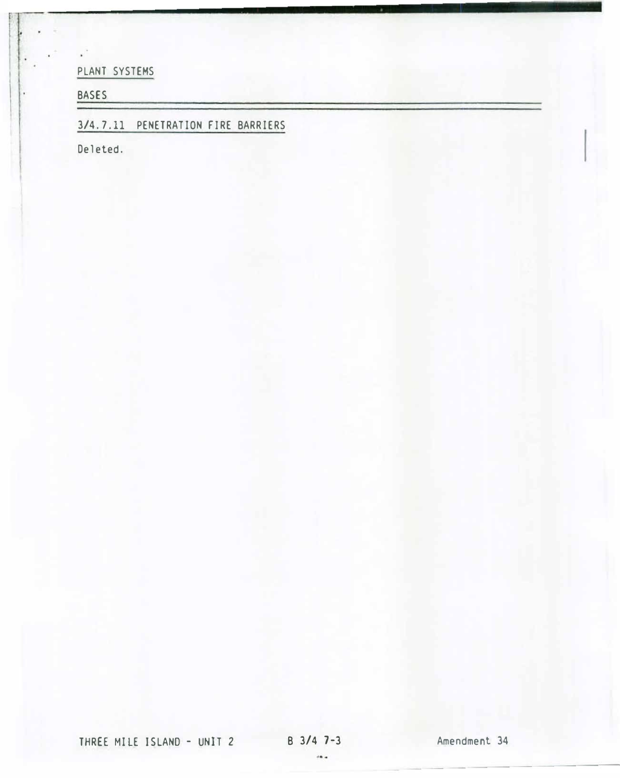PLANT SYSTEMS

BASES

¥Î

3/4. 7.11 PENETRATION FIRE BARRIERS

Deleted.

THREE MILE ISLAND - UNIT 2 B 3/4 7-3 Amendment 34

 $\rightarrow$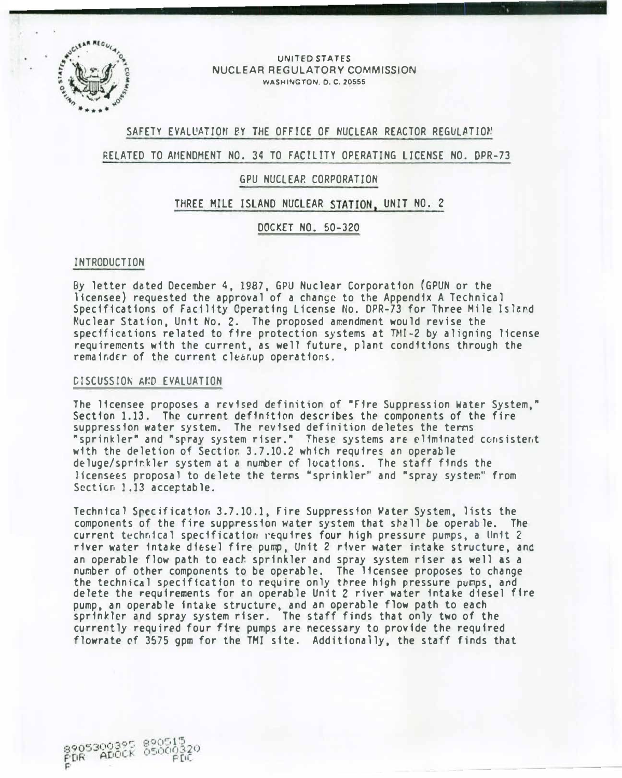

#### UNITED STATES NUCLEAR REGULATORY COMMISSION WASHINGTON. 0. C. 20555

## SAFETY EVALUATION BY THE OFFICE OF NUCLEAR REACTOR REGULATION

## RELATED TO AfiENDHENT NO. 34 TO FACILITY OPERATING LICENSE NO. DPR-73

## GPU NUCLEAP. CORPORATION

## THREE MILE ISLAND NUCLEAR STATION, UNIT NO. 2

## DOCKET NO. 50-320

#### INTRODUCTION

By letter dated December 4, 1987, GPU Nuclear Corporation (GPUN or the licensee) requested the approval of a change to the Appendix A Technical Specifications of Facility Operating License No. DPR-73 for Three Mile lslerd �uclear Station, Unit No. 2. The proposed a�endment would revise the specifications related to fire protection systems at TMI-2 by aligning license requirements with the current, as well future, plant conditions through the remainder of the current cleanup operations.

#### CISCUSSJON A�D EVALUATION

The licensee proposes a revised definition of "Fire Suppression Water System," Section 1.13. The current definition describes the components of the fire suppression water system. The revised definition deletes the terms "sprinkler" and "spray system riser." These systems are eliminated consistent with the deletion of Sectior. 3.7.10.2 which requires an operable deluge/sprirkler system at a number of locations. The staff finds the licensees proposal to delete the terms "sprinkler" and "spray system" from Section 1.13 acceptable.

Technical Specification 3.7.10.1, Fire Suppression Water System. lists the components of the fire suppression water system that shall be operable. The current technical specification requires four high pressure pumps, a Unit 2 river water intake df�s�l fire pump, Unit 2 river water intake structure, and an operable flow path to each sprinkler and spray system riser as well as a number of other components to be operable. The licensee proposes to change the technical specification to require only three high pressure pumps, and delete the requirements for an operable Unit 2 river water intake diesel fire pump, an operable intake structure, and an operable flow path to each sprinkler and spray system riser. The staff finds that only two of the currently required four fire pumps are necessary to provide the required flowrate cf 3575 gpm for the TMI site. Additionally, the staff finds that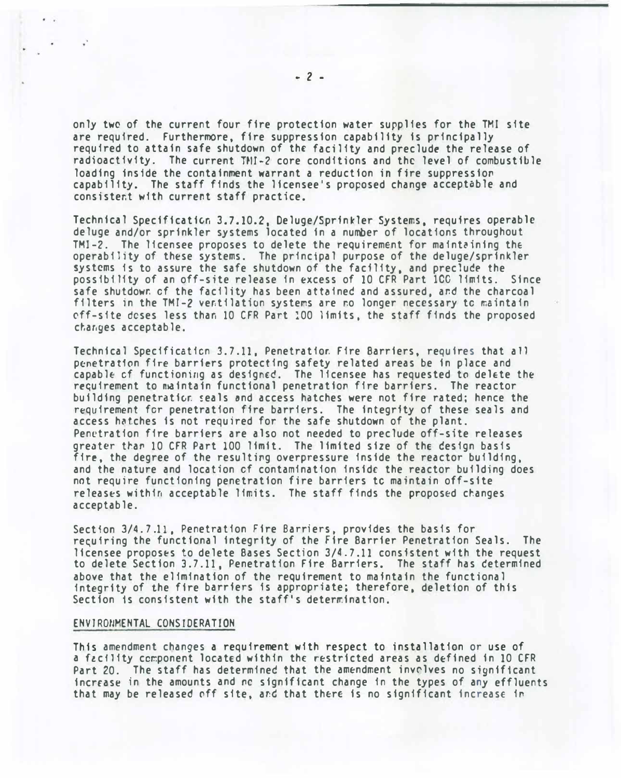only two of the current four fire protection water supplies for the TMI site are required. Furthermore, fire suppression capability is principally required to attain safe shutdown of the facility and preclude the release of radioactivity. The current TMI-2 core conditions and the level of combustible loading inside the containment warrant a reduction in fire suppression capability. The staff finds the licensee's proposed change acceptable and consistent with current staff practice.

Technical Specificativn 3.7.10.2, Deluge/Sprinkler Systems, requires operable deluge and/or sprinkler systems located in a number of locations throughout TMI-2. The licensee proposes to delete the requirement for maintaining the operability of these systems. The principal purpose of the deluge/sprinkler systems is to assure the safe shutdown of the facility, and preclude the possibility of an off-site release in excess of 10 CFR Part lCO limits. Since safe shutdown of the facility has been attained and assured, and the charcoal filters in the TMI-2 ventilation systems are no longer necessary to maintain off-site doses less than 10 CFR Part !00 limits, the staff finds the proposed c�anges acceptable.

Technical Specification 3.7.11, Penetration Fire Barriers, requires that all penetration fire barriers protecting safety related areas be in place and capable of functioning as designed. The licensee has requested to delete the requirement to maintain functional penetration fire barriers. The reactor building penetration seals and access hatches were not fire rated; hence the requirement for penetration fire barriers. The integrity of these seals and access h�tches is not required for the safe shutdown of the plant. Penetration fire barriers are also not needed to preclude off-site releases greater than 10 CFR Part 100 limit. The limited size of the design basis fire, the degree of the resulting overpressure inside the reactor building. and the nature and location of contamination inside the reactor building does not require functioning penetration fire barriers tc maintain off-site releases within acceptable limits. The staff finds the proposed changes acceptable.

Section 3/4. 7.11, Penetration Fire Barriers. provides the basis for recuiring the functional integrity of the Fire Barrier Penetration Seals. The licensee proposes to delete Bases Section 3/4.7. 11 consistent with the request to delete Section 3.7. 11, Penetration Fire Barriers. The staff has cetermined above that the elimination of the requirement to maintain the functional integrity of the fire barriers fs appropriate; therefore, deletion of this Section is consistent with the staff's determination.

#### ENVIRONMENTAL CONSIDERATION

This amendment changes a requirement with respect to installation or use of a facility component located within the restricted areas as defined in 10 CFR Part 20. The staff has determined that the amendment invelves no significant increase in the amounts and no significant change in the types of any effluents that may be released off site, and that there is no significant increase in